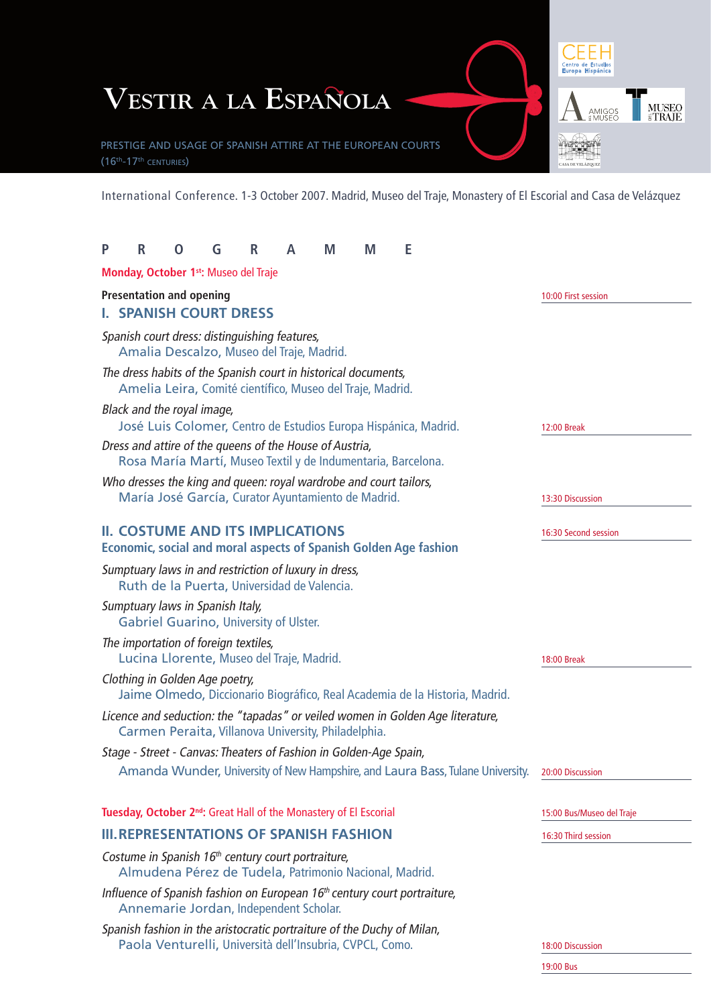

International Conference. 1-3 October 2007. Madrid, Museo del Traje, Monastery of El Escorial and Casa de Velázquez

| P                                                                | R | O                                    | G | R                                                                                                                                  | A | M | M | Е |                                                                                                 |                           |
|------------------------------------------------------------------|---|--------------------------------------|---|------------------------------------------------------------------------------------------------------------------------------------|---|---|---|---|-------------------------------------------------------------------------------------------------|---------------------------|
|                                                                  |   |                                      |   | Monday, October 1 <sup>st</sup> : Museo del Traje                                                                                  |   |   |   |   |                                                                                                 |                           |
| <b>Presentation and opening</b><br><b>I. SPANISH COURT DRESS</b> |   |                                      |   |                                                                                                                                    |   |   |   |   | 10:00 First session                                                                             |                           |
|                                                                  |   |                                      |   | Spanish court dress: distinguishing features,<br>Amalia Descalzo, Museo del Traje, Madrid.                                         |   |   |   |   |                                                                                                 |                           |
|                                                                  |   |                                      |   | The dress habits of the Spanish court in historical documents,<br>Amelia Leira, Comité científico, Museo del Traje, Madrid.        |   |   |   |   |                                                                                                 |                           |
|                                                                  |   | Black and the royal image,           |   |                                                                                                                                    |   |   |   |   | José Luis Colomer, Centro de Estudios Europa Hispánica, Madrid.                                 | <b>12:00 Break</b>        |
|                                                                  |   |                                      |   | Dress and attire of the queens of the House of Austria,<br>Rosa María Martí, Museo Textil y de Indumentaria, Barcelona.            |   |   |   |   |                                                                                                 |                           |
|                                                                  |   |                                      |   | Who dresses the king and queen: royal wardrobe and court tailors,<br>María José García, Curator Ayuntamiento de Madrid.            |   |   |   |   |                                                                                                 | 13:30 Discussion          |
|                                                                  |   |                                      |   | <b>II. COSTUME AND ITS IMPLICATIONS</b>                                                                                            |   |   |   |   | <b>Economic, social and moral aspects of Spanish Golden Age fashion</b>                         | 16:30 Second session      |
|                                                                  |   |                                      |   | Sumptuary laws in and restriction of luxury in dress,<br>Ruth de la Puerta, Universidad de Valencia.                               |   |   |   |   |                                                                                                 |                           |
|                                                                  |   | Sumptuary laws in Spanish Italy,     |   | <b>Gabriel Guarino, University of Ulster.</b>                                                                                      |   |   |   |   |                                                                                                 |                           |
|                                                                  |   | The importation of foreign textiles, |   | Lucina Llorente, Museo del Traje, Madrid.                                                                                          |   |   |   |   |                                                                                                 | <b>18:00 Break</b>        |
|                                                                  |   | Clothing in Golden Age poetry,       |   |                                                                                                                                    |   |   |   |   | Jaime Olmedo, Diccionario Biográfico, Real Academia de la Historia, Madrid.                     |                           |
|                                                                  |   |                                      |   | Carmen Peraita, Villanova University, Philadelphia.                                                                                |   |   |   |   | Licence and seduction: the "tapadas" or veiled women in Golden Age literature,                  |                           |
|                                                                  |   |                                      |   | Stage - Street - Canvas: Theaters of Fashion in Golden-Age Spain,                                                                  |   |   |   |   |                                                                                                 |                           |
|                                                                  |   |                                      |   |                                                                                                                                    |   |   |   |   | Amanda Wunder, University of New Hampshire, and Laura Bass, Tulane University. 20:00 Discussion |                           |
|                                                                  |   |                                      |   | Tuesday, October 2 <sup>nd</sup> : Great Hall of the Monastery of El Escorial                                                      |   |   |   |   |                                                                                                 | 15:00 Bus/Museo del Traje |
|                                                                  |   |                                      |   | <b>III. REPRESENTATIONS OF SPANISH FASHION</b>                                                                                     |   |   |   |   |                                                                                                 | 16:30 Third session       |
|                                                                  |   |                                      |   | Costume in Spanish 16 <sup>th</sup> century court portraiture,<br>Almudena Pérez de Tudela, Patrimonio Nacional, Madrid.           |   |   |   |   |                                                                                                 |                           |
|                                                                  |   |                                      |   | Influence of Spanish fashion on European 16 <sup>th</sup> century court portraiture,<br>Annemarie Jordan, Independent Scholar.     |   |   |   |   |                                                                                                 |                           |
|                                                                  |   |                                      |   | Spanish fashion in the aristocratic portraiture of the Duchy of Milan,<br>Paola Venturelli, Università dell'Insubria, CVPCL, Como. |   |   |   |   |                                                                                                 | 18:00 Discussion          |
|                                                                  |   |                                      |   |                                                                                                                                    |   |   |   |   |                                                                                                 | 19:00 Bus                 |